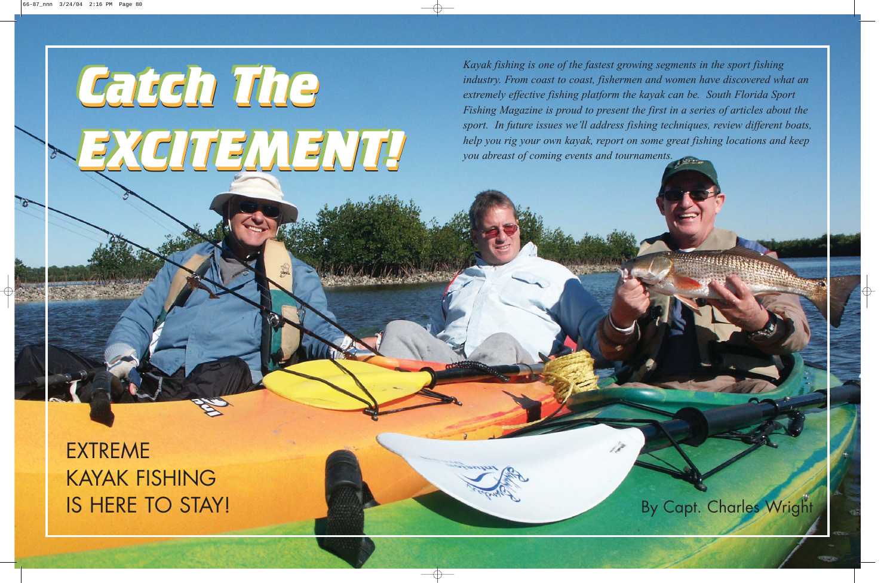*Catch The*

*EXCITEMENT!*

## EXTREME KAYAK FISHING **IS HERE TO STAY!** By Capt. Charles Wright

*Catch The Catch The*

*EXCITEMENT! EXCITEMENT!*

*Kayak fishing is one of the fastest growing segments in the sport fishing industry. From coast to coast, fishermen and women have discovered what an extremely effective fishing platform the kayak can be. South Florida Sport Fishing Magazine is proud to present the first in a series of articles about the sport. In future issues we'll address fishing techniques, review different boats, help you rig your own kayak, report on some great fishing locations and keep you abreast of coming events and tournaments.*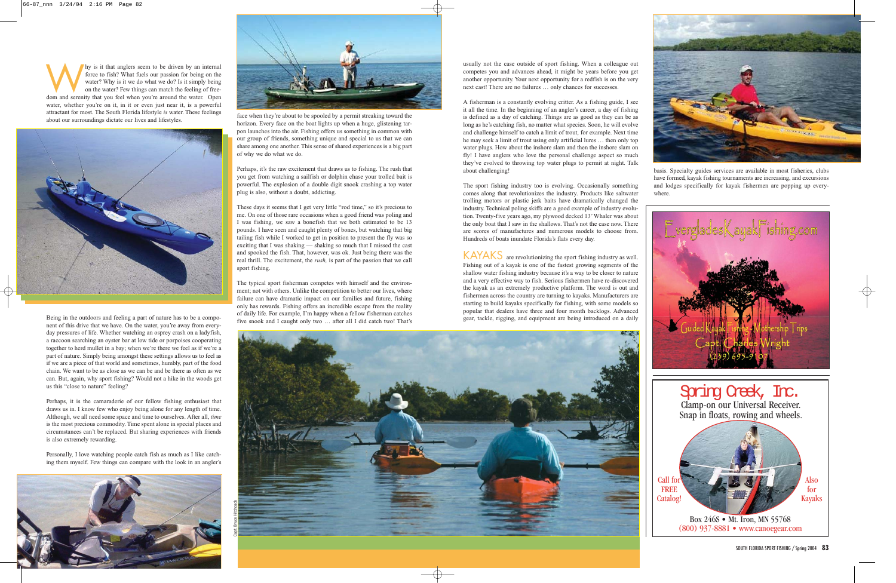usually not the case outside of sport fishing. When a colleague out competes you and advances ahead, it might be years before you get another opportunity. Your next opportunity for a redfish is on the very next cast! There are no failures … only chances for successes.

A fisherman is a constantly evolving critter. As a fishing guide, I see it all the time. In the beginning of an angler's career, a day of fishing is defined as a day of catching. Things are as good as they can be as long as he's catching fish, no matter what species. Soon, he will evolve and challenge himself to catch a limit of trout, for example. Next time he may seek a limit of trout using only artificial lures … then only top water plugs. How about the inshore slam and then the inshore slam on fly! I have anglers who love the personal challenge aspect so much they've evolved to throwing top water plugs to permit at night. Talk about challenging!

The sport fishing industry too is evolving. Occasionally something comes along that revolutionizes the industry. Products like saltwater trolling motors or plastic jerk baits have dramatically changed the industry. Technical poling skiffs are a good example of industry evolution. Twenty-five years ago, my plywood decked 13' Whaler was about the only boat that I saw in the shallows. That's not the case now. There are scores of manufactures and numerous models to choose from. Hundreds of boats inundate Florida's flats every day.

Why is it that anglers seem to be driven by an internal force to fish? What fuels our passion for being on the water? Why is it we do what we do? Is it simply being on the water? Few things can match the feeling of freedom force to fish? What fuels our passion for being on the water? Why is it we do what we do? Is it simply being on the water? Few things can match the feeling of freewater, whether you're on it, in it or even just near it, is a powerful attractant for most. The South Florida lifestyle *is* water. These feelings about our surroundings dictate our lives and lifestyles.



KAYAKS are revolutionizing the sport fishing industry as well. Fishing out of a kayak is one of the fastest growing segments of the shallow water fishing industry because it's a way to be closer to nature and a very effective way to fish. Serious fishermen have re-discovered the kayak as an extremely productive platform. The word is out and fishermen across the country are turning to kayaks. Manufacturers are starting to build kayaks specifically for fishing, with some models so popular that dealers have three and four month backlogs. Advanced gear, tackle, rigging, and equipment are being introduced on a daily

basis. Specialty guides services are available in most fisheries, clubs have formed, kayak fishing tournaments are increasing, and excursions and lodges specifically for kayak fishermen are popping up everywhere.

Being in the outdoors and feeling a part of nature has to be a component of this drive that we have. On the water, you're away from everyday pressures of life. Whether watching an osprey crash on a ladyfish, a raccoon searching an oyster bar at low tide or porpoises cooperating together to herd mullet in a bay; when we're there we feel as if we're a part of nature. Simply being amongst these settings allows us to feel as if we are a piece of that world and sometimes, humbly, part of the food chain. We want to be as close as we can be and be there as often as we can. But, again, why sport fishing? Would not a hike in the woods get us this "close to nature" feeling?

Perhaps, it is the camaraderie of our fellow fishing enthusiast that draws us in. I know few who enjoy being alone for any length of time. Although, we all need some space and time to ourselves. After all, *time* is the most precious commodity. Time spent alone in special places and circumstances can't be replaced. But sharing experiences with friends is also extremely rewarding.



Personally, I love watching people catch fish as much as I like catching them myself. Few things can compare with the look in an angler's





face when they're about to be spooled by a permit streaking toward the horizon. Every face on the boat lights up when a huge, glistening tarpon launches into the air. Fishing offers us something in common with our group of friends, something unique and special to us that we can share among one another. This sense of shared experiences is a big part of why we do what we do.

Perhaps, it's the raw excitement that draws us to fishing. The rush that you get from watching a sailfish or dolphin chase your trolled bait is powerful. The explosion of a double digit snook crashing a top water plug is also, without a doubt, addicting.

These days it seems that I get very little "rod time," so it's precious to me. On one of those rare occasions when a good friend was poling and I was fishing, we saw a bonefish that we both estimated to be 13 pounds. I have seen and caught plenty of bones, but watching that big tailing fish while I worked to get in position to present the fly was so exciting that I was shaking — shaking so much that I missed the cast and spooked the fish. That, however, was ok. Just being there was the real thrill. The excitement, the *rush,* is part of the passion that we call sport fishing.

The typical sport fisherman competes with himself and the environment; not with others. Unlike the competition to better our lives, where failure can have dramatic impact on our families and future, fishing only has rewards. Fishing offers an incredible escape from the reality of daily life. For example, I'm happy when a fellow fisherman catches five snook and I caught only two … after all I did catch two! That's